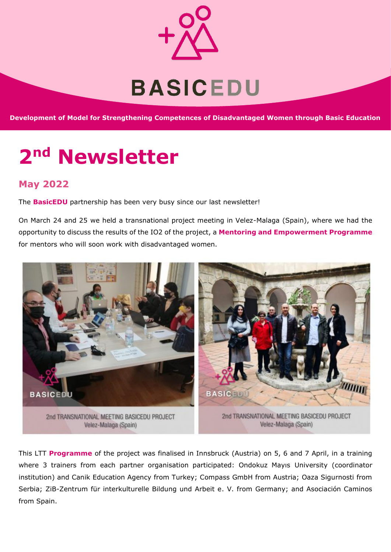

**Development of Model for Strengthening Competences of Disadvantaged Women through Basic Education**

# **2nd Newsletter**

## **May 2022**

The **BasicEDU** partnership has been very busy since our last newsletter!

On March 24 and 25 we held a transnational project meeting in Velez-Malaga (Spain), where we had the opportunity to discuss the results of the IO2 of the project, a **Mentoring and Empowerment Programme** for mentors who will soon work with disadvantaged women.



This LTT **Programme** of the project was finalised in Innsbruck (Austria) on 5, 6 and 7 April, in a training where 3 trainers from each partner organisation participated: Ondokuz Mayıs University (coordinator institution) and Canik Education Agency from Turkey; Compass GmbH from Austria; Oaza Sigurnosti from Serbia; ZiB-Zentrum für interkulturelle Bildung und Arbeit e. V. from Germany; and Asociación Caminos from Spain.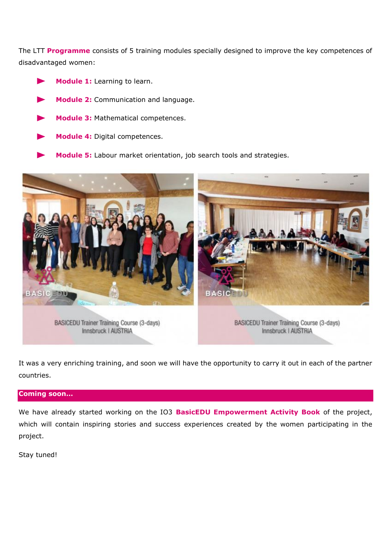The LTT **Programme** consists of 5 training modules specially designed to improve the key competences of disadvantaged women:

- **Module 1:** Learning to learn.
- **Module 2:** Communication and language.
- **Module 3:** Mathematical competences.
- **Module 4:** Digital competences.
- **Module 5:** Labour market orientation, job search tools and strategies.



It was a very enriching training, and soon we will have the opportunity to carry it out in each of the partner countries.

### **Coming soon…**

We have already started working on the IO3 **BasicEDU Empowerment Activity Book** of the project, which will contain inspiring stories and success experiences created by the women participating in the project.

Stay tuned!